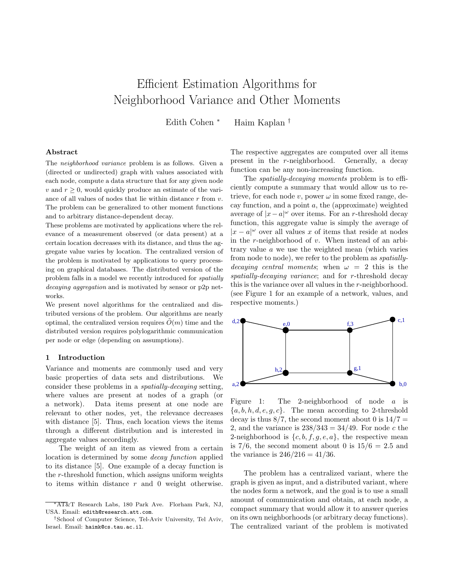# Efficient Estimation Algorithms for Neighborhood Variance and Other Moments

Edith Cohen <sup>∗</sup> Haim Kaplan †

#### Abstract

The neighborhood variance problem is as follows. Given a (directed or undirected) graph with values associated with each node, compute a data structure that for any given node v and  $r \geq 0$ , would quickly produce an estimate of the variance of all values of nodes that lie within distance  $r$  from  $v$ . The problem can be generalized to other moment functions and to arbitrary distance-dependent decay.

These problems are motivated by applications where the relevance of a measurement observed (or data present) at a certain location decreases with its distance, and thus the aggregate value varies by location. The centralized version of the problem is motivated by applications to query processing on graphical databases. The distributed version of the problem falls in a model we recently introduced for spatially decaying aggregation and is motivated by sensor or p2p networks.

We present novel algorithms for the centralized and distributed versions of the problem. Our algorithms are nearly optimal, the centralized version requires  $\tilde{O}(m)$  time and the distributed version requires polylogarithmic communication per node or edge (depending on assumptions).

### 1 Introduction

Variance and moments are commonly used and very basic properties of data sets and distributions. We consider these problems in a spatially-decaying setting, where values are present at nodes of a graph (or a network). Data items present at one node are relevant to other nodes, yet, the relevance decreases with distance [5]. Thus, each location views the items through a different distribution and is interested in aggregate values accordingly.

The weight of an item as viewed from a certain location is determined by some decay function applied to its distance [5]. One example of a decay function is the r-threshold function, which assigns uniform weights to items within distance  $r$  and 0 weight otherwise.

The respective aggregates are computed over all items present in the r-neighborhood. Generally, a decay function can be any non-increasing function.

The spatially-decaying moments problem is to efficiently compute a summary that would allow us to retrieve, for each node v, power  $\omega$  in some fixed range, decay function, and a point  $a$ , the (approximate) weighted average of  $|x-a|^{\omega}$  over items. For an r-threshold decay function, this aggregate value is simply the average of  $|x - a|$ <sup>ω</sup> over all values x of items that reside at nodes in the  $r$ -neighborhood of  $v$ . When instead of an arbitrary value a we use the weighted mean (which varies from node to node), we refer to the problem as spatiallydecaying central moments; when  $\omega = 2$  this is the spatially-decaying variance; and for r-threshold decay this is the variance over all values in the r-neighborhood. (see Figure 1 for an example of a network, values, and respective moments.)



Figure 1: The 2-neighborhood of node a is  ${a, b, h, d, e, g, c}$ . The mean according to 2-threshold decay is thus  $8/7$ , the second moment about 0 is  $14/7 =$ 2, and the variance is  $238/343 = 34/49$ . For node c the 2-neighborhood is  $\{c, b, f, g, e, a\}$ , the respective mean is 7/6, the second moment about 0 is  $15/6 = 2.5$  and the variance is  $246/216 = 41/36$ .

The problem has a centralized variant, where the graph is given as input, and a distributed variant, where the nodes form a network, and the goal is to use a small amount of communication and obtain, at each node, a compact summary that would allow it to answer queries on its own neighborhoods (or arbitrary decay functions). The centralized variant of the problem is motivated

<sup>∗</sup>AT&T Research Labs, 180 Park Ave. Florham Park, NJ, USA. Email: edith@research.att.com.

<sup>†</sup>School of Computer Science, Tel-Aviv University, Tel Aviv, Israel. Email: haimk@cs.tau.ac.il.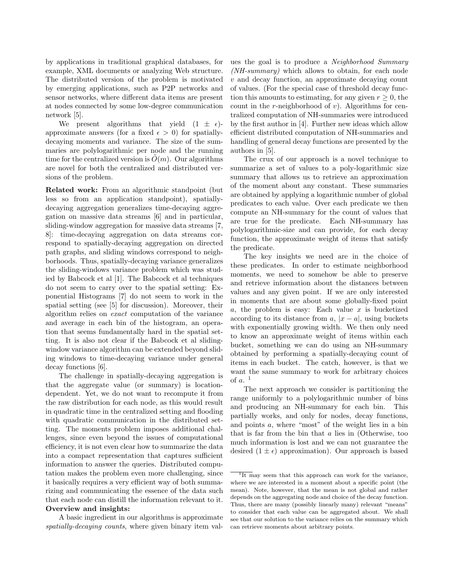by applications in traditional graphical databases, for example, XML documents or analyzing Web structure. The distributed version of the problem is motivated by emerging applications, such as P2P networks and sensor networks, where different data items are present at nodes connected by some low-degree communication network [5].

We present algorithms that yield  $(1 \pm \epsilon)$ approximate answers (for a fixed  $\epsilon > 0$ ) for spatiallydecaying moments and variance. The size of the summaries are polylogarithmic per node and the running time for the centralized version is  $\tilde{O}(m)$ . Our algorithms are novel for both the centralized and distributed versions of the problem.

Related work: From an algorithmic standpoint (but less so from an application standpoint), spatiallydecaying aggregation generalizes time-decaying aggregation on massive data streams [6] and in particular, sliding-window aggregation for massive data streams [7, 8]: time-decaying aggregation on data streams correspond to spatially-decaying aggregation on directed path graphs, and sliding windows correspond to neighborhoods. Thus, spatially-decaying variance generalizes the sliding-windows variance problem which was studied by Babcock et al [1]. The Babcock et al techniques do not seem to carry over to the spatial setting: Exponential Histograms [7] do not seem to work in the spatial setting (see [5] for discussion). Moreover, their algorithm relies on exact computation of the variance and average in each bin of the histogram, an operation that seems fundamentally hard in the spatial setting. It is also not clear if the Babcock et al slidingwindow variance algorithm can be extended beyond sliding windows to time-decaying variance under general decay functions [6].

The challenge in spatially-decaying aggregation is that the aggregate value (or summary) is locationdependent. Yet, we do not want to recompute it from the raw distribution for each node, as this would result in quadratic time in the centralized setting and flooding with quadratic communication in the distributed setting. The moments problem imposes additional challenges, since even beyond the issues of computational efficiency, it is not even clear how to summarize the data into a compact representation that captures sufficient information to answer the queries. Distributed computation makes the problem even more challenging, since it basically requires a very efficient way of both summarizing and communicating the essence of the data such that each node can distill the information relevant to it. Overview and insights:

A basic ingredient in our algorithms is approximate spatially-decaying counts, where given binary item val-

ues the goal is to produce a Neighborhood Summary (NH-summary) which allows to obtain, for each node v and decay function, an approximate decaying count of values. (For the special case of threshold decay function this amounts to estimating, for any given  $r \geq 0$ , the count in the  $r$ -neighborhood of  $v$ ). Algorithms for centralized computation of NH-summaries were introduced by the first author in [4]. Further new ideas which allow efficient distributed computation of NH-summaries and handling of general decay functions are presented by the authors in [5].

The crux of our approach is a novel technique to summarize a set of values to a poly-logarithmic size summary that allows us to retrieve an approximation of the moment about any constant. These summaries are obtained by applying a logarithmic number of global predicates to each value. Over each predicate we then compute an NH-summary for the count of values that are true for the predicate. Each NH-summary has polylogarithmic-size and can provide, for each decay function, the approximate weight of items that satisfy the predicate.

The key insights we need are in the choice of these predicates. In order to estimate neighborhood moments, we need to somehow be able to preserve and retrieve information about the distances between values and any given point. If we are only interested in moments that are about some globally-fixed point  $a$ , the problem is easy: Each value  $x$  is bucketized according to its distance from a,  $|x - a|$ , using buckets with exponentially growing width. We then only need to know an approximate weight of items within each bucket, something we can do using an NH-summary obtained by performing a spatially-decaying count of items in each bucket. The catch, however, is that we want the same summary to work for arbitrary choices of  $a$ .  $<sup>1</sup>$ </sup>

The next approach we consider is partitioning the range uniformly to a polylogarithmic number of bins and producing an NH-summary for each bin. This partially works, and only for nodes, decay functions, and points a, where "most" of the weight lies in a bin that is far from the bin that  $a$  lies in (Otherwise, too much information is lost and we can not guarantee the desired  $(1 \pm \epsilon)$  approximation). Our approach is based

<sup>&</sup>lt;sup>1</sup>It may seem that this approach can work for the variance, where we are interested in a moment about a specific point (the mean). Note, however, that the mean is not global and rather depends on the aggregating node and choice of the decay function. Thus, there are many (possibly linearly many) relevant "means" to consider that each value can be aggregated about. We shall see that our solution to the variance relies on the summary which can retrieve moments about arbitrary points.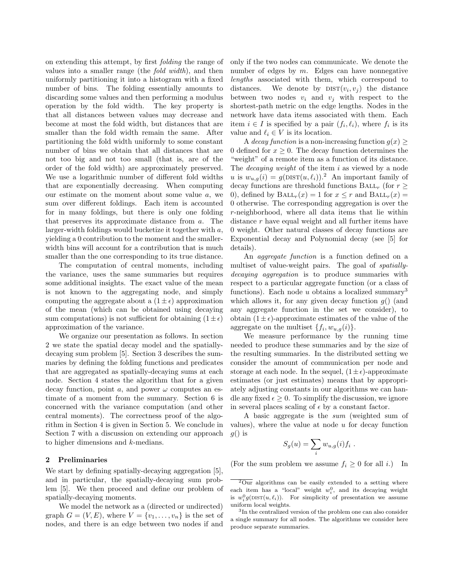on extending this attempt, by first folding the range of values into a smaller range (the fold width), and then uniformly partitioning it into a histogram with a fixed number of bins. The folding essentially amounts to discarding some values and then performing a modulus operation by the fold width. The key property is that all distances between values may decrease and become at most the fold width, but distances that are smaller than the fold width remain the same. After partitioning the fold width uniformly to some constant number of bins we obtain that all distances that are not too big and not too small (that is, are of the order of the fold width) are approximately preserved. We use a logarithmic number of different fold widths that are exponentially decreasing. When computing our estimate on the moment about some value  $a$ , we sum over different foldings. Each item is accounted for in many foldings, but there is only one folding that preserves its approximate distance from a. The larger-width foldings would bucketize it together with a, yielding a 0 contribution to the moment and the smallerwidth bins will account for a contribution that is much smaller than the one corresponding to its true distance.

The computation of central moments, including the variance, uses the same summaries but requires some additional insights. The exact value of the mean is not known to the aggregating node, and simply computing the aggregate about a  $(1 \pm \epsilon)$  approximation of the mean (which can be obtained using decaying sum computations) is not sufficient for obtaining  $(1 \pm \epsilon)$ approximation of the variance.

We organize our presentation as follows. In section 2 we state the spatial decay model and the spatiallydecaying sum problem [5]. Section 3 describes the summaries by defining the folding functions and predicates that are aggregated as spatially-decaying sums at each node. Section 4 states the algorithm that for a given decay function, point  $a$ , and power  $\omega$  computes an estimate of a moment from the summary. Section 6 is concerned with the variance computation (and other central moments). The correctness proof of the algorithm in Section 4 is given in Section 5. We conclude in Section 7 with a discussion on extending our approach to higher dimensions and k-medians.

## 2 Preliminaries

We start by defining spatially-decaying aggregation [5], and in particular, the spatially-decaying sum problem [5]. We then proceed and define our problem of spatially-decaying moments.

We model the network as a (directed or undirected) graph  $G = (V, E)$ , where  $V = \{v_1, \ldots, v_n\}$  is the set of nodes, and there is an edge between two nodes if and only if the two nodes can communicate. We denote the number of edges by  $m$ . Edges can have nonnegative lengths associated with them, which correspond to distances. We denote by  $DIST(v_i, v_j)$  the distance between two nodes  $v_i$  and  $v_j$  with respect to the shortest-path metric on the edge lengths. Nodes in the network have data items associated with them. Each item  $i \in I$  is specified by a pair  $(f_i, \ell_i)$ , where  $f_i$  is its value and  $\ell_i \in V$  is its location.

A decay function is a non-increasing function  $g(x) \geq$ 0 defined for  $x \geq 0$ . The decay function determines the "weight" of a remote item as a function of its distance. The *decaying weight* of the item  $i$  as viewed by a node u is  $w_{u,q}(i) = g(\text{DIST}(u, \ell_i)).^2$  An important family of decay functions are threshold functions  $\text{BAL}_{r}$  (for  $r \geq$ 0), defined by  $\text{BALL}_r(x) = 1$  for  $x \leq r$  and  $\text{BALL}_r(x) =$ 0 otherwise. The corresponding aggregation is over the r-neighborhood, where all data items that lie within distance r have equal weight and all further items have 0 weight. Other natural classes of decay functions are Exponential decay and Polynomial decay (see [5] for details).

An aggregate function is a function defined on a multiset of value-weight pairs. The goal of spatiallydecaying aggregation is to produce summaries with respect to a particular aggregate function (or a class of functions). Each node  $u$  obtains a localized summary<sup>3</sup> which allows it, for any given decay function  $g()$  (and any aggregate function in the set we consider), to obtain  $(1 \pm \epsilon)$ -approximate estimates of the value of the aggregate on the multiset  $\{f_i, w_{u,g}(i)\}.$ 

We measure performance by the running time needed to produce these summaries and by the size of the resulting summaries. In the distributed setting we consider the amount of communication per node and storage at each node. In the sequel,  $(1 \pm \epsilon)$ -approximate estimates (or just estimates) means that by appropriately adjusting constants in our algorithms we can handle any fixed  $\epsilon \geq 0$ . To simplify the discussion, we ignore in several places scaling of  $\epsilon$  by a constant factor.

A basic aggregate is the sum (weighted sum of values), where the value at node  $u$  for decay function  $q()$  is

$$
S_g(u) = \sum_i w_{u,g}(i) f_i .
$$

(For the sum problem we assume  $f_i \geq 0$  for all i.) In

 $2\overline{Our}$  algorithms can be easily extended to a setting where each item has a "local" weight  $w_i^0$ , and its decaying weight is  $w_i^0 g(\text{DIST}(u, \ell_i))$ . For simplicity of presentation we assume uniform local weights.

<sup>3</sup> In the centralized version of the problem one can also consider a single summary for all nodes. The algorithms we consider here produce separate summaries.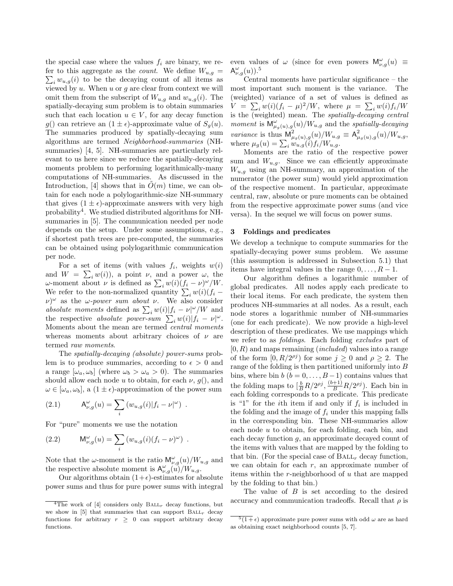the special case where the values  $f_i$  are binary, we re- $\sum_i w_{u,g}(i)$  to be the decaying count of all items as fer to this aggregate as the *count*. We define  $W_{u,q} =$ viewed by  $u$ . When  $u$  or  $g$  are clear from context we will omit them from the subscript of  $W_{u,g}$  and  $w_{u,g}(i)$ . The spatially-decaying sum problem is to obtain summaries such that each location  $u \in V$ , for any decay function g() can retrieve an  $(1 \pm \epsilon)$ -approximate value of  $S_q(u)$ . The summaries produced by spatially-decaying sum algorithms are termed Neighborhood-summaries (NHsummaries) [4, 5]. NH-summaries are particularly relevant to us here since we reduce the spatially-decaying moments problem to performing logarithmically-many computations of NH-summaries. As discussed in the Introduction, [4] shows that in  $O(m)$  time, we can obtain for each node a polylogarithmic-size NH-summary that gives  $(1 \pm \epsilon)$ -approximate answers with very high probability<sup>4</sup>. We studied distributed algorithms for NHsummaries in [5]. The communication needed per node depends on the setup. Under some assumptions, e.g., if shortest path trees are pre-computed, the summaries can be obtained using polylogarithmic communication per node.

For a set of items (with values  $f_i$ , weights  $w(i)$ and  $W = \sum_i w(i)$ , a point  $\nu$ , and a power  $\omega$ , the ω-moment about *ν* is defined as  $\sum_i w(i) (f_i - \nu)^{\omega}/W$ . We refer to the non-normalized quantity  $\sum_i w(i)(f_i (\nu)^{\omega}$  as the *ω-power sum about v*. We also consider absolute moments defined as  $\sum_i w(i) |f_i - \nu|^{\omega}/W$  and the respective absolute power-sum  $\sum_i w(i) |f_i - \nu|^{\omega}$ . Moments about the mean are termed central moments whereas moments about arbitrary choices of  $\nu$  are termed raw moments.

The spatially-decaying (absolute) power-sums problem is to produce summaries, according to  $\epsilon > 0$  and a range  $[\omega_a, \omega_b]$  (where  $\omega_b > \omega_a > 0$ ). The summaries should allow each node u to obtain, for each  $\nu$ ,  $g()$ , and  $\omega \in [\omega_a, \omega_b],$  a  $(1 \pm \epsilon)$ -approximation of the power sum

(2.1) 
$$
\mathsf{A}_{\nu,g}^{\omega}(u) = \sum_i \left( w_{u,g}(i) | f_i - \nu |^{\omega} \right) .
$$

For "pure" moments we use the notation

(2.2) 
$$
\mathsf{M}_{\nu,g}^{\omega}(u) = \sum_i \left( w_{u,g}(i) (f_i - \nu)^{\omega} \right) .
$$

Note that the  $\omega$ -moment is the ratio  $\mathsf{M}_{\nu,g}^{\omega}(u)/W_{u,g}$  and the respective absolute moment is  $\mathsf{A}_{\nu,g}^{\omega}(\tilde{u})/W_{u,g}$ .

Our algorithms obtain  $(1+\epsilon)$ -estimates for absolute power sums and thus for pure power sums with integral even values of  $\omega$  (since for even powers  $\mathsf{M}_{\nu,g}^{\omega}(u) \equiv$  $\mathsf{A}_{\nu,g}^{\omega}(u)$ ).<sup>5</sup>

Central moments have particular significance – the most important such moment is the variance. The (weighted) variance of a set of values is defined as  $V = \sum_i w(i)(f_i - \mu)^2/W$ , where  $\mu = \sum_i w(i)f_i/W$ is the  $(weightharpoonup a)$  mean. The spatially-decaying central moment is  $\mathsf{M}_{\mu_g(u),g}^{\omega}(u)/W_{u,g}$  and the spatially-decaying variance is thus  $\mathsf{M}_{\mu_g(u),g}^2(u)/W_{u,g} \equiv \mathsf{A}_{\mu_g(u),g}^2(u)/W_{u,g}$ , where  $\mu_g(u) = \sum_i \frac{\mu_g(u)}{w_{u,g}(i)} f_i/W_{u,g}$ .

Moments are the ratio of the respective power sum and  $W_{u,q}$ . Since we can efficiently approximate  $W_{u,g}$  using an NH-summary, an approximation of the numerator (the power sum) would yield approximation of the respective moment. In particular, approximate central, raw, absolute or pure moments can be obtained from the respective approximate power sums (and vice versa). In the sequel we will focus on power sums.

# 3 Foldings and predicates

We develop a technique to compute summaries for the spatially-decaying power sums problem. We assume (this assumption is addressed in Subsection 5.1) that items have integral values in the range  $0, \ldots, R-1$ .

Our algorithm defines a logarithmic number of global predicates. All nodes apply each predicate to their local items. For each predicate, the system then produces NH-summaries at all nodes. As a result, each node stores a logarithmic number of NH-summaries (one for each predicate). We now provide a high-level description of these predicates. We use mappings which we refer to as *foldings*. Each folding excludes part of  $[0, R)$  and maps remaining *(included)* values into a range of the form  $[0, R/2^{\rho j})$  for some  $j \geq 0$  and  $\rho \geq 2$ . The range of the folding is then partitioned uniformly into B bins, where bin  $b$  ( $b = 0, \ldots, B-1$ ) contains values that the folding maps to  $\left(\frac{b}{B}R/2^{\rho j}, \frac{(b+1)}{B}R/2^{\rho j}\right)$ . Each bin in each folding corresponds to a predicate. This predicate is "1" for the *i*th item if and only if  $f_i$  is included in the folding and the image of  $f_i$  under this mapping falls in the corresponding bin. These NH-summaries allow each node  $u$  to obtain, for each folding, each bin, and each decay function g, an approximate decayed count of the items with values that are mapped by the folding to that bin. (For the special case of  $\text{BAL}_{r}$  decay function, we can obtain for each  $r$ , an approximate number of items within the r-neighborhood of u that are mapped by the folding to that bin.)

The value of  $B$  is set according to the desired accuracy and communication tradeoffs. Recall that  $\rho$  is

The work of [4] considers only  $\text{BAL}_{r}$  decay functions, but we show in [5] that summaries that can support  $\text{BAL}_{r}$  decay functions for arbitrary  $r \geq 0$  can support arbitrary decay functions.

 $\sqrt[5]{1+\epsilon}$  approximate pure power sums with odd  $\omega$  are as hard as obtaining exact neighborhood counts [5, 7].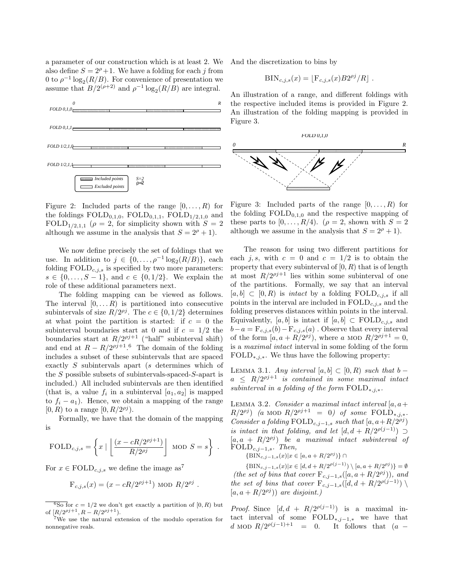a parameter of our construction which is at least 2. We also define  $S = 2^{\rho} + 1$ . We have a folding for each j from 0 to  $\rho^{-1} \log_2(R/B)$ . For convenience of presentation we assume that  $B/2^{(\rho+2)}$  and  $\rho^{-1} \log_2(R/B)$  are integral.



Figure 2: Included parts of the range  $[0, \ldots, R)$  for the foldings  $FOLD_{0,1,0}$ ,  $FOLD_{0,1,1}$ ,  $FOLD_{1/2,1,0}$  and  $\text{FOLD}_{1/2,1,1}$  ( $\rho = 2$ , for simplicity shown with  $S = 2$ although we assume in the analysis that  $S = 2^{\rho} + 1$ .

We now define precisely the set of foldings that we use. In addition to  $j \in \{0, \ldots, \rho^{-1} \log_2(R/B)\}\)$ , each folding  $\text{FOLD}_{c,j,s}$  is specified by two more parameters:  $s \in \{0, \ldots, S-1\}$ , and  $c \in \{0, 1/2\}$ . We explain the role of these additional parameters next.

The folding mapping can be viewed as follows. The interval  $[0, \ldots, R)$  is partitioned into consecutive subintervals of size  $R/2^{p^j}$ . The  $c \in \{0, 1/2\}$  determines at what point the partition is started: if  $c = 0$  the subinterval boundaries start at 0 and if  $c = 1/2$  the boundaries start at  $R/2^{p^j+1}$  ("half" subinterval shift) and end at  $R - R/2^{p<sub>j</sub>+1.6}$  The domain of the folding includes a subset of these subintervals that are spaced exactly S subintervals apart (s determines which of the S possible subsets of subintervals-spaced-S-apart is included.) All included subintervals are then identified (that is, a value  $f_i$  in a subinterval  $[a_1, a_2]$  is mapped to  $f_i - a_1$ ). Hence, we obtain a mapping of the range [0, R) to a range  $[0, R/2^{\rho j})$ .

Formally, we have that the domain of the mapping is

$$
\text{FOLD}_{c,j,s} = \left\{ x \mid \left\lfloor \frac{(x - cR/2^{pj+1})}{R/2^{pj}} \right\rfloor \text{ MOD } S = s \right\} .
$$

For  $x \in \text{FOLD}_{c,i,s}$  we define the image as<sup>7</sup>

$$
F_{c,j,s}(x) = (x - cR/2^{pj+1})
$$
 MOD  $R/2^{pj}$ .

 $\frac{6}{6}$ So for  $c = 1/2$  we don't get exactly a partition of  $[0, R)$  but of  $[R/2^{\rho j+1}, R - R/2^{\rho j+1}).$ 

<sup>7</sup>We use the natural extension of the modulo operation for nonnegative reals.

And the discretization to bins by

$$
BIN_{c,j,s}(x) = \lfloor F_{c,j,s}(x)B2^{\rho j}/R \rfloor.
$$

An illustration of a range, and different foldings with the respective included items is provided in Figure 2. An illustration of the folding mapping is provided in Figure 3.



Figure 3: Included parts of the range  $[0, \ldots, R)$  for the folding  $FOLD_{0,1,0}$  and the respective mapping of these parts to  $[0, \ldots, R/4)$ .  $(\rho = 2, \text{ shown with } S = 2)$ although we assume in the analysis that  $S = 2^{\rho} + 1$ .

The reason for using two different partitions for each j, s, with  $c = 0$  and  $c = 1/2$  is to obtain the property that every subinterval of  $[0, R)$  that is of length at most  $R/2^{p^j+1}$  lies within some subinterval of one of the partitions. Formally, we say that an interval  $[a, b] \subset [0, R)$  is *intact* by a folding  $\text{FOLD}_{c,i,s}$  if all points in the interval are included in  $\text{FOLD}_{c,j,s}$  and the folding preserves distances within points in the interval. Equivalently, [a, b] is intact if  $[a, b] \subset \text{FOLD}_{c,j,s}$  and  $b-a = \mathbf{F}_{c,j,s}(b) - \mathbf{F}_{c,j,s}(a)$ . Observe that every interval of the form  $[a, a + R/2^{\rho j})$ , where a MOD  $R/2^{\rho j+1} = 0$ , is a maximal intact interval in some folding of the form  $\text{FOLD}_{*,j,*}$ . We thus have the following property:

LEMMA 3.1. Any interval  $[a, b] \subset [0, R)$  such that  $b$  –  $a \leq R/2^{pj+1}$  is contained in some maximal intact subinterval in a folding of the form  $\text{FOLD}_{\ast,j,\ast}$ .

LEMMA 3.2. Consider a maximal intact interval  $[a, a+]$  $R/2^{pj}$ ) (a MOD  $R/2^{pj+1} = 0$ ) of some  $\text{FOLD}_{*,j,*}.$ Consider a folding  $\text{FOLD}_{c,j-1,s}$  such that  $[a, a + R/2^{p^j})$ is intact in that folding, and let  $[d, d + R/2^{\rho(j-1)})$  $[a, a + R/2^{p_j}]$  be a maximal intact subinterval of  $\text{FOLD}_{c,j-1,s}.$  Then,

{BIN<sub>c,j-1,s</sub>(x)|x ∈ [a, a + R/2<sup> $\rho j$ </sup>)} ∩

 $\{ \text{BIN}_{c,j-1,s}(x) | x \in [d, d + R/2^{\rho(j-1)}) \setminus [a, a + R/2^{\rho j}) \} = \emptyset$ (the set of bins that cover  $F_{c,j-1,s}([a, a + R/2^{\rho j})),$  and the set of bins that cover  $F_{c,j-1,s}([d, d + R/2^{\rho(j-1)}) \setminus$  $[a, a + R/2^{\rho j})$  are disjoint.)

*Proof.* Since  $[d, d + R/2^{\rho(j-1)})$  is a maximal intact interval of some  $\text{FOLD}_{*,j-1,*}$  we have that d MOD  $R/2^{\rho(j-1)+1}$  = 0. It follows that  $(a -$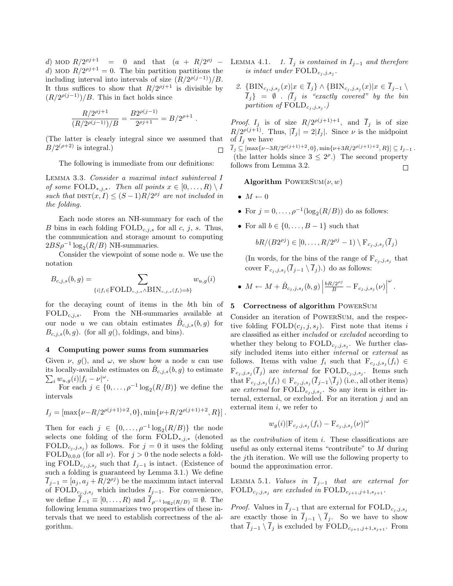d) MOD  $R/2^{pj+1} = 0$  and that  $(a + R/2^{pj})$ d) MOD  $R/2^{pj+1} = 0$ . The bin partition partitions the including interval into intervals of size  $(R/2^{\rho(j-1)})/B$ . It thus suffices to show that  $R/2^{p^j+1}$  is divisible by  $(R/2^{\rho(j-1)})/B$ . This in fact holds since

$$
\frac{R/2^{\rho j+1}}{(R/2^{\rho(j-1)})/B} = \frac{B2^{\rho(j-1)}}{2^{\rho j+1}} = B/2^{\rho+1}.
$$

(The latter is clearly integral since we assumed that  $B/2^{(\rho+2)}$  is integral.) П

The following is immediate from our definitions:

Lemma 3.3. Consider a maximal intact subinterval I of some  $\text{FOLD}_{*,j,*}$ . Then all points  $x \in [0, \ldots, R) \setminus I$ such that  $\text{DIST}(x, I) \leq (S-1)R/2^{p_j}$  are not included in the folding.

Each node stores an NH-summary for each of the B bins in each folding  $\text{FOLD}_{c,j,s}$  for all c, j, s. Thus, the communication and storage amount to computing  $2BS\rho^{-1}\log_2(R/B)$  NH-summaries.

Consider the viewpoint of some node  $u$ . We use the notation

$$
B_{c,j,s}(b,g) = \sum_{\{i|f_i \in \text{FOLD}_{c,j,s} \land \text{BIN}_{c,j,s}(f_i) = b\}} w_{u,g}(i)
$$

for the decaying count of items in the bth bin of  $\text{FOLD}_{c,j,s}$ . From the NH-summaries available at our node u we can obtain estimates  $\hat{B}_{c,j,s}(b,g)$  for  $B_{c,j,s}(b, g)$ . (for all  $g()$ , foldings, and bins).

#### 4 Computing power sums from summaries

Given  $\nu$ ,  $g()$ , and  $\omega$ , we show how a node u can use its locally-available estimates on  $\hat{B}_{c,j,s}(b,g)$  to estimate  $\sum_{i} w_{n,a}(i) |f_i - \nu|^{\omega}$ .  $\sum_i w_{u,g}(i) |f_i - \nu|^{\omega}.$ 

For each  $j \in \{0, \ldots, \rho^{-1} \log_2(R/B)\}\$  we define the intervals

$$
I_j = \left[\max\{\nu - R/2^{\rho(j+1)+2}, 0\}, \min\{\nu + R/2^{\rho(j+1)+2}, R\}\right].
$$

Then for each  $j \in \{0, \ldots, \rho^{-1} \log_2(R/B)\}\$  the node selects one folding of the form  $\text{FOLD}_{\ast,j,\ast}$  (denoted FOLD<sub>c<sub>j</sub>,j,s<sub>j</sub></sub> as follows. For  $j = 0$  it uses the folding  $\text{FOLD}_{0,0,0}$  (for all  $\nu$ ). For  $j > 0$  the node selects a folding FOLD<sub>cj,j,sj</sub> such that  $I_{j-1}$  is intact. (Existence of such a folding is guaranteed by Lemma 3.1.) We define  $\overline{I}_{j-1} = [a_j, a_j + R/2^{\rho j}]$  be the maximum intact interval of  $\text{FOLD}_{c_j, j, s_j}$  which includes  $I_{j-1}$ . For convenience, we define  $I_{-1} \equiv [0, \ldots, R)$  and  $I_{\rho^{-1} \log_2(R/B)} \equiv \emptyset$ . The following lemma summarizes two properties of these intervals that we need to establish correctness of the algorithm.

- LEMMA 4.1. 1.  $\overline{I}_j$  is contained in  $I_{j-1}$  and therefore is intact under  $\text{FOLD}_{c_j, j, s_j}$ .
- 2.  $\{\text{BIN}_{c_j, j, s_j}(x) | x \in I_j\} \wedge \{\text{BIN}_{c_j, j, s_j}(x) | x \in I_{j-1}\ \rangle$  $\overline{I}_j$ } =  $\emptyset$ . ( $\overline{I}_j$  is "exactly covered" by the bin partition of  $\text{FOLD}_{c_j,j,s_j}$ .)

*Proof.*  $I_j$  is of size  $R/2^{p(j+1)+1}$ , and  $\overline{I}_j$  is of size  $R/2^{\rho(j+1)}$ . Thus,  $|\overline{I}_j| = 2|I_j|$ . Since  $\nu$  is the midpoint of  $I_i$  we have  $\overline{I}_j \subseteq [\max\{\nu-3R/2^{\rho(j+1)+2},0\},\min\{\nu+3R/2^{\rho(j+1)+2},R\}] \subseteq I_{j-1}$ . (the latter holds since  $3 \leq 2^{\rho}$ .) The second property

 $\Box$ 

## Algorithm POWERSUM $(\nu, w)$

 $\bullet M \leftarrow 0$ 

follows from Lemma 3.2.

- For  $j = 0, \ldots, \rho^{-1}(\log_2(R/B))$  do as follows:
- For all  $b \in \{0, \ldots, B-1\}$  such that

$$
bR/(B2^{\rho j}) \in [0,\ldots,R/2^{\rho j}-1) \setminus F_{c_j,j,s_j}(\overline{I}_j)
$$

(In words, for the bins of the range of  $F_{c_j, j, s_j}$  that cover  $F_{c_j, j, s_j}(I_{j-1} \setminus I_j)$  do as follows:

• 
$$
M \leftarrow M + \hat{B}_{c_j, j, s_j}(b, g) \left| \frac{bR/2^{oj}}{B} - \mathcal{F}_{c_j, j, s_j}(\nu) \right|^{\omega}.
$$

## 5 Correctness of algorithm PowerSum

Consider an iteration of PowerSum, and the respective folding  $\text{FOLD}(c_i, j, s_i)$ . First note that items i are classified as either included or excluded according to whether they belong to  $\text{FOLD}_{c_j,j,s_j}$ . We further classify included items into either internal or external as follows. Items with value  $f_i$  such that  $F_{c_j, j, s_j}(f_i) \in$  $F_{c_j, j, s_j}(I_j)$  are *internal* for  $\text{FOLD}_{c_j, j, s_j}$ . Items such that  $F_{c_j, j, s_j}(f_i) \in F_{c_j, j, s_j}(I_{j-1} \setminus I_j)$  (i.e., all other items) are *external* for  $\text{FOLD}_{c_j, j, s_j}$ . So any item is either internal, external, or excluded. For an iteration j and an external item  $i$ , we refer to

$$
w_g(i) |F_{c_j, j, s_j}(f_i) - F_{c_j, j, s_j}(\nu)|^{\omega}
$$

as the contribution of item i. These classifications are useful as only external items "contribute" to M during the jth iteration. We will use the following property to bound the approximation error.

LEMMA 5.1. Values in  $\overline{I}_{j-1}$  that are external for  $\text{FOLD}_{c_j, j, s_j}$  are excluded in  $\text{FOLD}_{c_{j+1}, j+1, s_{j+1}}$ .

*Proof.* Values in  $\overline{I}_{j-1}$  that are external for  $\text{FOLD}_{c_j, j, s_j}$ are exactly those in  $\overline{I}_{j-1} \setminus \overline{I}_j$ . So we have to show that  $\overline{I}_{j-1} \setminus \overline{I}_j$  is excluded by  $\text{FOLD}_{c_{j+1},j+1,s_{j+1}}$ . From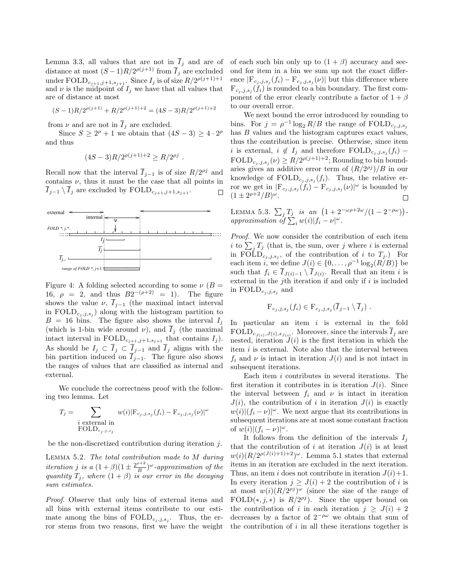Lemma 3.3, all values that are not in  $\overline{I}_i$  and are of distance at most  $(S-1)R/2^{\rho(j+1)}$  from  $\overline{I}_j$  are excluded under  $\text{FOLD}_{c_{j+1},j+1,s_{j+1}}$ . Since  $I_j$  is of size  $R/2^{\rho(j+1)+1}$ and  $\nu$  is the midpoint of  $I_j$  we have that all values that are of distance at most

$$
(S-1)R/2^{\rho(j+1)} + R/2^{\rho(j+1)+2} = (4S-3)R/2^{\rho(j+1)+2}
$$

from  $\nu$  and are not in  $\overline{I}_j$  are excluded.

Since  $S \geq 2^{\rho} + 1$  we obtain that  $(4S - 3) \geq 4 \cdot 2^{\rho}$ and thus

$$
(4S-3)R/2^{\rho(j+1)+2} \ge R/2^{\rho j} .
$$

Recall now that the interval  $\overline{I}_{j-1}$  is of size  $R/2^{oj}$  and contains  $\nu$ , thus it must be the case that all points in  $\overline{I}_{j-1} \setminus \overline{I}_j$  are excluded by  $\text{FOLD}_{c_{j+1},j+1,s_{j+1}}$ . □



Figure 4: A folding selected according to some  $\nu$  ( $B =$ 16,  $\rho = 2$ , and thus  $B2^{-(\rho+2)} = 1$ . The figure shows the value  $\nu$ ,  $\overline{I}_{i-1}$  (the maximal intact interval in  $\text{FOLD}_{c_j,j,s_j}$  along with the histogram partition to  $B = 16$  bins. The figure also shows the interval  $I_j$ (which is 1-bin wide around  $\nu$ ), and  $\overline{I}_j$  (the maximal intact interval in  $\text{FOLD}_{c_{j+1},j+1,s_{j+1}}$  that contains  $I_j$ ). As should be  $I_j \subset \overline{I}_j \subset \underline{I}_{j-1}$  and  $\overline{I}_j$  aligns with the bin partition induced on  $I_{j-1}$ . The figure also shows the ranges of values that are classified as internal and external.

We conclude the correctness proof with the following two lemma. Let

$$
T_j = \sum_{\substack{i \text{ external in} \\ \text{FOLD}_{c_j, j, s_j}}} w(i) |\mathbf{F}_{c_j, j, s_j}(f_i) - \mathbf{F}_{c_j, j, s_j}(\nu)|^{\omega}
$$

be the non-discretized contribution during iteration j.

Lemma 5.2. The total contribution made to M during *iteration* j is a  $(1+\beta)(1 \pm \frac{2^{p+2}}{B})$  $\frac{\partial^{n+2}}{\partial B}$ <sup>*ω*</sup>-approximation of the quantity  $T_j$ , where  $(1 + \beta)$  is our error in the decaying sum estimates.

Proof. Observe that only bins of external items and all bins with external items contribute to our estimate among the bins of  $\text{FOLD}_{c_j,j,s_j}$ . Thus, the error stems from two reasons, first we have the weight of each such bin only up to  $(1 + \beta)$  accuracy and second for item in a bin we sum up not the exact difference  $|F_{c_j,j,s_j}(f_i) - F_{c_j,j,s_j}(\nu)|$  but this difference where  $F_{c_j, j, s_j}(f_i)$  is rounded to a bin boundary. The first component of the error clearly contribute a factor of  $1 + \beta$ to our overall error.

We next bound the error introduced by rounding to bins. For  $j = \rho^{-1} \log_2 R/B$  the range of  $\text{FOLD}_{c_j, j, s_j}$ has  $B$  values and the histogram captures exact values, thus the contribution is precise. Otherwise, since item i is external,  $i \notin I_j$  and therefore  $\text{FOLD}_{c_j, j, s_j}(f_i)$  –  $\text{FOLD}_{c_j, j, s_j}(\nu) \geq R/2^{\rho(j+1)+2}$ ; Rounding to bin boundaries gives an additive error term of  $(R/2^{p_j})/B$  in our knowledge of  $\text{FOLD}_{c_j,j,s_j}(f_i)$ . Thus, the relative error we get in  $|F_{c_j,j,s_j}(f_i) - F_{c_j,j,s_j}(\nu)|^{\omega}$  is bounded by  $(1 \pm 2^{\rho+2}/B)^\omega$ .  $\Box$ 

LEMMA 5.3.  $\sum_j T_j$  is an  $(1 + 2^{-\omega \rho + 2\omega}/(1 - 2^{-\rho \omega}))$ approximation of  $\sum_{i}^{J} w(i) |f_i - \nu|^{\omega}$ .

Proof. We now consider the contribution of each item i to  $\sum_j T_j$  (that is, the sum, over j where i is external in FOLD<sub>c<sub>j</sub>,j,s<sub>j</sub>, of the contribution of i to  $T_j$ .) For</sub> each item *i*, we define  $J(i) \in \{0, \ldots, \rho^{-1} \log_2(R/B)\}\$  be such that  $f_i \in I_{J(i)-1} \setminus I_{J(i)}$ . Recall that an item i is external in the j<sup>th</sup> iteration if and only if  $i$  is included in  $\text{FOLD}_{c_j, j, s_j}$  and

$$
\mathrm{F}_{c_j,j,s_j}(f_i) \in \mathrm{F}_{c_j,j,s_j}(\overline{I}_{j-1} \setminus \overline{I}_j) .
$$

In particular an item  $i$  is external in the fold  $\text{FOLD}_{c_{J(i)}, J(i), s_{J(i)}}$ . Moreover, since the intervals  $I_j$  are nested, iteration  $J(i)$  is the first iteration in which the item  $i$  is external. Note also that the interval between  $f_i$  and  $\nu$  is intact in iteration  $J(i)$  and is not intact in subsequent iterations.

Each item i contributes in several iterations. The first iteration it contributes in is iteration  $J(i)$ . Since the interval between  $f_i$  and  $\nu$  is intact in iteration  $J(i)$ , the contribution of i in iteration  $J(i)$  is exactly  $w(i)|(f_i - \nu)|^{\omega}$ . We next argue that its contributions in subsequent iterations are at most some constant fraction of  $w(i)| (f_i - \nu)|^{\omega}$ .

It follows from the definition of the intervals  $I_i$ that the contribution of i at iteration  $J(i)$  is at least  $w(i) (R/2^{\rho(J(i)+1)+2})^{\omega}$ . Lemma 5.1 states that external items in an iteration are excluded in the next iteration. Thus, an item i does not contribute in iteration  $J(i)+1$ . In every iteration  $j > J(i) + 2$  the contribution of i is at most  $w(i)(R/2^{p_i})^{\omega}$  (since the size of the range of FOLD(\*, j, \*) is  $R/2^{p^j}$ . Since the upper bound on the contribution of i in each iteration  $j \geq J(i) + 2$ decreases by a factor of  $2^{-\rho\omega}$  we obtain that sum of the contribution of  $i$  in all these iterations together is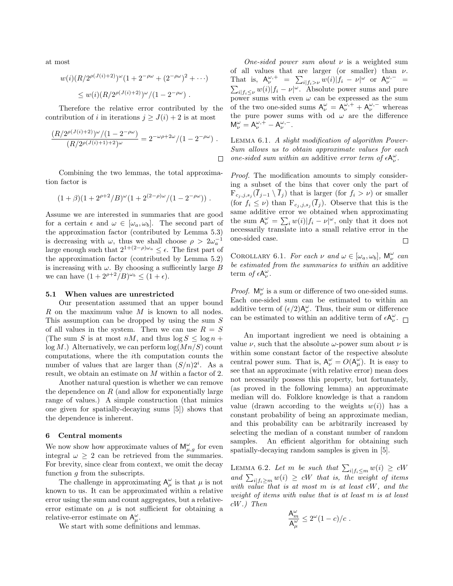at most

$$
w(i)(R/2^{\rho(J(i)+2)})^{\omega}(1+2^{-\rho\omega}+(2^{-\rho\omega})^2+\cdots)
$$
  
 
$$
\leq w(i)(R/2^{\rho(J(i)+2)})^{\omega}/(1-2^{-\rho\omega}).
$$

Therefore the relative error contributed by the contribution of i in iterations  $j \geq J(i) + 2$  is at most

$$
\frac{(R/2^{\rho(J(i)+2)})^{\omega}/(1-2^{-\rho\omega})}{(R/2^{\rho(J(i)+1)+2})^{\omega}} = 2^{-\omega\rho+2\omega}/(1-2^{-\rho\omega}) .
$$

Combining the two lemmas, the total approximation factor is

$$
(1+\beta)(1+2^{\rho+2}/B)^{\omega}(1+2^{(2-\rho)\omega}/(1-2^{-\rho\omega}))
$$
.

Assume we are interested in summaries that are good for a certain  $\epsilon$  and  $\omega \in [\omega_a, \omega_b]$ . The second part of the approximation factor (contributed by Lemma 5.3) is decreasing with  $\omega$ , thus we shall choose  $\rho > 2\omega_a^{-1}$ large enough such that  $2^{1+(2-\rho)\omega_a} \leq \epsilon$ . The first part of the approximation factor (contributed by Lemma 5.2) is increasing with  $\omega$ . By choosing a sufficeintly large B we can have  $(1 + 2^{\rho+2}/B)^{\omega_b} \le (1 + \epsilon)$ .

#### 5.1 When values are unrestricted

Our presentation assumed that an upper bound R on the maximum value M is known to all nodes. This assumption can be dropped by using the sum S of all values in the system. Then we can use  $R = S$ (The sum S is at most  $nM$ , and thus  $\log S \leq \log n +$  $log M$ .) Alternatively, we can perform  $log(Mn/S)$  count computations, where the ith computation counts the number of values that are larger than  $(S/n)2<sup>i</sup>$ . As a result, we obtain an estimate on M within a factor of 2.

Another natural question is whether we can remove the dependence on  $R$  (and allow for exponentially large range of values.) A simple construction (that mimics one given for spatially-decaying sums [5]) shows that the dependence is inherent.

# 6 Central moments

We now show how approximate values of  $\mathsf{M}_{\mu,g}^{\omega}$  for even integral  $\omega \geq 2$  can be retrieved from the summaries. For brevity, since clear from context, we omit the decay function  $q$  from the subscripts.

The challenge in approximating  $A^{\omega}_{\mu}$  is that  $\mu$  is not known to us. It can be approximated within a relative error using the sum and count aggregates, but a relativeerror estimate on  $\mu$  is not sufficient for obtaining a relative-error estimate on  $A^{\omega}_{\mu}$ .

We start with some definitions and lemmas.

One-sided power sum about  $\nu$  is a weighted sum of all values that are larger (or smaller) than  $\nu$ . That is,  $A_{\nu}^{\omega,+} = \sum_{i|f_i > \nu} w(i)|f_i - \nu|^{\omega}$  or  $A_{\nu}^{\omega,-} = \sum_{i|f_i \leq \nu} w(i)|f_i - \nu|^{\omega}$ . Absolute power sums and pure power sums with even  $\omega$  can be expressed as the sum of the two one-sided sums  $A_{\nu}^{\omega} = A_{\nu}^{\omega,+} + A_{\nu}^{\omega,-}$  whereas the pure power sums with od  $\omega$  are the difference  $M_{\nu}^{\omega}=A_{\nu}^{\omega,+}-A_{\nu}^{\omega,-}.$ 

Lemma 6.1. A slight modification of algorithm Power-Sum allows us to obtain approximate values for each one-sided sum within an additive error term of  $\epsilon {\sf A}_\nu^\omega.$ 

Proof. The modification amounts to simply considering a subset of the bins that cover only the part of  $F_{c_j, j, s_j}(I_{j-1} \setminus I_j)$  that is larger (for  $f_i > \nu$ ) or smaller (for  $f_i \leq \nu$ ) than  $F_{c_j, j, s_j}(I_j)$ . Observe that this is the same additive error we obtained when approximating the sum  $A_{\nu}^{\omega} = \sum_{i} w(i) |f_i - \nu|^{\omega}$ , only that it does not necessarily translate into a small relative error in the one-sided case. П

COROLLARY 6.1. For each  $\nu$  and  $\omega \in [\omega_a, \omega_b]$ ,  $\mathsf{M}_{\nu}^{\omega}$  can be estimated from the summaries to within an additive term of  $\epsilon A_{\nu}^{\omega}$ .

*Proof.*  $\mathsf{M}_{\nu}^{\omega}$  is a sum or difference of two one-sided sums. Each one-sided sum can be estimated to within an additive term of  $(\epsilon/2)A_{\nu}^{\omega}$ . Thus, their sum or difference can be estimated to within an additive term of  $\epsilon A^{\omega}_{\nu}$ .

An important ingredient we need is obtaining a value  $\nu$ , such that the absolute  $\omega$ -power sum about  $\nu$  is within some constant factor of the respective absolute central power sum. That is,  $A_{\nu}^{\omega} = O(A_{\mu}^{\omega})$ . It is easy to see that an approximate (with relative error) mean does not necessarily possess this property, but fortunately, (as proved in the following lemma) an approximate median will do. Folklore knowledge is that a random value (drawn according to the weights  $w(i)$ ) has a constant probability of being an approximate median, and this probability can be arbitrarily increased by selecting the median of a constant number of random samples. An efficient algorithm for obtaining such spatially-decaying random samples is given in [5].

LEMMA 6.2. Let m be such that  $\sum_{i|f_i\leq m} w(i) \geq cW$ and  $\sum_{i|f_i\geq m} w(i) \geq cW$  that is, the weight of items with value that is at most m is at least cW, and the weight of items with value that is at least m is at least cW.) Then

$$
\frac{\mathsf{A}_m^\omega}{\mathsf{A}_\mu^\omega} \le 2^\omega (1-c)/c \; .
$$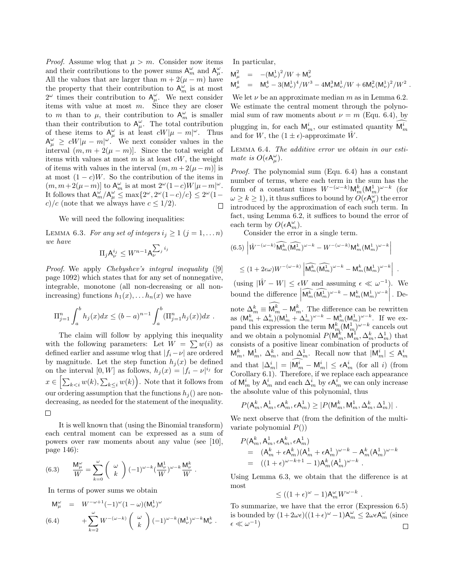*Proof.* Assume wlog that  $\mu > m$ . Consider now items and their contributions to the power sums  $A_m^{\omega}$  and  $A_\mu^{\omega}$ . All the values that are larger than  $m + 2(\mu - m)$  have the property that their contribution to  $A_m^{\omega}$  is at most  $2^{\omega}$  times their contribution to  $A^{\omega}_{\mu}$ . We next consider items with value at most  $m$ . Since they are closer to m than to  $\mu$ , their contribution to  $A_m^{\omega}$  is smaller than their contribution to  $A^{\omega}_{\mu}$ . The total contribution of these items to  $A^{\omega}_{\mu}$  is at least  $cW|\mu - m|^{\omega}$ . Thus  $A^{\omega}_{\mu} \geq cW|\mu - m|^{\omega}$ . We next consider values in the interval  $(m, m + 2(\mu - m))$ . Since the total weight of items with values at most  $m$  is at least  $cW$ , the weight of items with values in the interval  $(m, m + 2(\mu - m))$  is at most  $(1 - c)W$ . So the contribution of the items in  $(m, m+2(\mu - m))$  to  $\mathsf{A}_m^{\omega}$  is at most  $2^{\omega}(1-c)W|\mu - m|^{\omega}$ . It follows that  $\mathsf{A}_m^{\omega}/\mathsf{A}_\mu^{\omega} \leq \max\{2^\omega, 2^\omega(1-c)/c\} \leq 2^\omega(1-c)$ c)/c (note that we always have  $c \leq 1/2$ ). П

We will need the following inequalities:

LEMMA 6.3. For any set of integers  $i_j \geq 1$   $(j = 1, \ldots n)$ we have

$$
\Pi_j \mathsf{A}^{i_j}_\nu \leq W^{n-1} \mathsf{A}^{\sum_j i_j}_\nu
$$

Proof. We apply Chebyshev's integral inequality ([9] page 1092) which states that for any set of nonnegative, integrable, monotone (all non-decreasing or all nonincreasing) functions  $h_1(x), \ldots, h_n(x)$  we have

$$
\Pi_{j=1}^n \int_a^b h_j(x) dx \le (b-a)^{n-1} \int_a^b (\Pi_{j=1}^n h_j(x)) dx.
$$

The claim will follow by applying this inequality with the following parameters: Let  $W = \sum w(i)$  as defined earlier and assume wlog that  $|f_i - \nu|$  are ordered by magnitude. Let the step function  $h_i(x)$  be defined on the interval  $[0, W]$  as follows,  $h_j(x) = |f_i - \nu|^{i_j}$  for  $x \in \left[\sum_{k \leq i} w(k), \sum_{k \leq i} w(k)\right]$ . Note that it follows from our ordering assumption that the functions  $h_i()$  are nondecreasing, as needed for the statement of the inequality. □

It is well known that (using the Binomial transform) each central moment can be expressed as a sum of powers over raw moments about any value (see [10], page 146):

(6.3) 
$$
\frac{\mathsf{M}_{\mu}^{\omega}}{W} = \sum_{k=0}^{\omega} \binom{\omega}{k} (-1)^{\omega-k} \left(\frac{\mathsf{M}_{\nu}^{1}}{W}\right)^{\omega-k} \frac{\mathsf{M}_{\nu}^{k}}{W}.
$$

In terms of power sums we obtain

$$
M^{\omega}_{\mu} = W^{-\omega+1}(-1)^{\omega}(1-\omega)(M^{1}_{\nu})^{\omega} + \sum_{k=2}^{\omega} W^{-(\omega-k)} \left(\begin{array}{c} \omega \\ k \end{array}\right) (-1)^{\omega-k} (M^{1}_{\nu})^{\omega-k} M^{k}_{\nu} .
$$

In particular,

$$
\begin{array}{lll} \displaystyle {\sf M}^2_\mu & = & \displaystyle -( {\sf M}^1_\nu)^2/W + {\sf M}^2_\nu \cr {\sf M}^4_\mu & = & \displaystyle {\sf M}^4_\nu - 3({\sf M}^1_\nu)^4/W^3 - 4 {\sf M}^3_\nu {\sf M}^1_\nu /W + 6 {\sf M}^2_\nu ({\sf M}^1_\nu)^2 / W^2 \ . \end{array}
$$

We let  $\nu$  be an approximate median m as in Lemma 6.2. We estimate the central moment through the polynomial sum of raw moments about  $\nu = m$  (Equ. 6.4), by plugging in, for each  $\mathsf{M}_m^i$ , our estimated quantity  $\mathsf{M}_m^i$ and for W, the  $(1 \pm \epsilon)$ -approximate W.

Lemma 6.4. The additive error we obtain in our estimate is  $O(\epsilon A^{\omega}_{\mu}).$ 

Proof. The polynomial sum (Equ. 6.4) has a constant number of terms, where each term in the sum has the form of a constant times  $W^{-(\omega-k)} \mathsf{M}_m^k (\mathsf{M}_m^1)^{\omega-k}$  (for  $\omega \geq k \geq 1$ ), it thus suffices to bound by  $\widetilde{O}(\epsilon A^{\omega}_{\mu})$  the error introduced by the approximation of each such term. In fact, using Lemma 6.2, it suffices to bound the error of each term by  $O(\epsilon A_m^{\omega})$ .

Consider the error in a single term.

$$
(6.5)\left|\hat{W}^{-(\omega-k)}\widehat{\mathsf{M}_{m}^{k}}(\widehat{\mathsf{M}_{m}^{1}})^{\omega-k} - W^{-(\omega-k)}\mathsf{M}_{m}^{k}(\mathsf{M}_{m}^{1})^{\omega-k}\right|
$$
  

$$
\leq (1+2\epsilon\omega)W^{-(\omega-k)}\left|\widehat{\mathsf{M}_{m}^{k}}(\widehat{\mathsf{M}_{m}^{1}})^{\omega-k} - \mathsf{M}_{m}^{k}(\mathsf{M}_{m}^{1})^{\omega-k}\right|.
$$

(using  $|\hat{W} - W| \leq \epsilon W$  and assuming  $\epsilon \ll \omega^{-1}$ ). We bound the difference  $\left| \widehat{\mathsf{M}_{m}^{k}}(\widehat{\mathsf{M}_{m}^{1}})^{\omega-k} - \mathsf{M}_{m}^{k}(\mathsf{M}_{m}^{1})^{\omega-k} \right|$ . De-

note  $\Delta_m^k \equiv \mathsf{M}_m^k - \mathsf{M}_m^k$ . The difference can be rewritten as  $(M_m^k + \Delta_m^k)(M_m^1 + \Delta_m^1)^{\omega - k} - M_m^k(M_m^1)^{\omega - k}$ . If we expand this expression the term  $\mathsf{M}_{m}^{k}(\mathsf{M}_{m}^{1})^{\omega-k}$  cancels out and we obtain a polynomial  $P(\mathsf{M}_{m}^{k}, \mathsf{M}_{m}^{1}, \Delta_{m}^{k}, \Delta_{m}^{1})$  that consists of a positive linear combination of products of  $\mathsf{M}_{m}^{k}$ ,  $\mathsf{M}_{m}^{1}$ ,  $\Delta_{m}^{k}$ , and  $\Delta_{m}^{1}$ . Recall now that  $|\mathsf{M}_{m}^{i}| \leq \mathsf{A}_{m}^{i}$ and that  $|\Delta_m^i| = |M_m^i - M_m^i| \leq \epsilon A_m^i$  (for all i) (from Corollary 6.1). Therefore, if we replace each appearance of  $\mathsf{M}^i_m$  by  $\mathsf{A}^i_m$  and each  $\Delta^i_m$  by  $\epsilon \mathsf{A}^i_m$  we can only increase the absolute value of this polynomial, thus

$$
P(\mathsf{A}_m^k, \mathsf{A}_m^1, \epsilon \mathsf{A}_m^k, \epsilon \mathsf{A}_m^1) \geq |P(\mathsf{M}_m^k, \mathsf{M}_m^1, \Delta_m^k, \Delta_m^1)|.
$$

We next observe that (from the definition of the multivariate polynomial  $P()$ 

$$
P(\mathsf{A}^k_m, \mathsf{A}^1_m, \epsilon \mathsf{A}^k_m, \epsilon \mathsf{A}^1_m)
$$
  
=  $(\mathsf{A}^k_m + \epsilon \mathsf{A}^k_m)(\mathsf{A}^1_m + \epsilon \mathsf{A}^1_m)^{\omega - k} - \mathsf{A}^k_m(\mathsf{A}^1_m)^{\omega - k}$   
=  $((1 + \epsilon)^{\omega - k + 1} - 1)\mathsf{A}^k_m(\mathsf{A}^1_m)^{\omega - k}$ .

Using Lemma 6.3, we obtain that the difference is at most

$$
\leq ((1+\epsilon)^\omega-1)\mathsf{A}_m^\omega W^{\omega-k}
$$

.

To summarize, we have that the error (Expression 6.5) is bounded by  $(1+2\omega\epsilon)((1+\epsilon)^{\omega}-1)A_{m}^{\omega} \leq 2\omega\epsilon A_{m}^{\omega}$  (since  $\epsilon \ll \omega^{-1}$ ) П